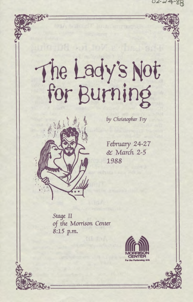02-24-88

# The Lady's Not



by Christopher Fry

February 24-27 & March 2-5 1988

Stage II of the Morrison Center 8:15 p.m.

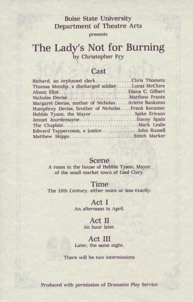# Boise State University Department of Theatre Arts

presents

# **The Lady's Not for Burning**  by Christopher Fry

# Cast

| Richard, an orphaned clerkChris Thometz             |
|-----------------------------------------------------|
| Thomas Mendip, a discharged soldierLucas McClure    |
| Alizon EliotDiana C. Gilbert                        |
|                                                     |
| Margaret Devise, mother of NicholasArlette Bankston |
| Humphrey Devise, brother of NicholasFrank Keczmer   |
| Hebble Tyson, the MayorSpike Ericson                |
| Jennet JourdemayneStacey Spain                      |
|                                                     |
| Edward Tappercoom, a justiceJohn Russell            |
| Matthew SkippsStitch Marker                         |

# Scene

A room in the house of Hebble Tyson, Mayor of the small market town of Cool Clary.

### Time

The 15th Century, either more or less exactly.

# Act I

An afternoon in April.

### Act II An hour later.

### Act III

Later, the same night.

There will be two intermissions

Produced with permission of Dramatist Play Service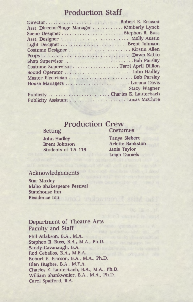# **Production Staff**

| DirectorRobert E. Ericson                    |                     |
|----------------------------------------------|---------------------|
| Asst. Director/Stage Manager  Kimberly Lynch |                     |
|                                              |                     |
|                                              |                     |
|                                              |                     |
| Costume Designer  Kirstin Allen              |                     |
|                                              |                     |
| Shop SupervisorBob Parsley                   |                     |
| Costume Supervisor  Terri April Dillion      |                     |
|                                              |                     |
| Master Electrician  Bob Parsley              |                     |
| House Managers  Lorena Davis                 |                     |
|                                              | <b>Stacy Wagner</b> |
| Publicity Charles E. Lauterbach              |                     |
| Publicity Assistant Lucas McClure            |                     |

### **Production** Crew Costumes

### Setting

John Hadley Brent Johnson Students of TA 118 Tanya Siebert Arlette Bankston Janis Taylor Leigh Daniels

# Acknowledgements

Star Moxley Idaho Shakespeare Festival Statehouse Inn Residence Inn

# Department of Theatre Arts Faculty and Staff

Phil Atlakson, B.A., M.A. Stephen R. Buss, B.A., M.A., Ph.D. Sandy Cavanaugh, B.A. Rod Ceballos, B.A., M.F.A. Robert E. Ericson, B.A., M.A., Ph.D. Glen Hughes, B.A., M.F.A. Charles E. Lauterbach, B.A., M.A., Ph.D. William Shankweiler, B.A., M.A., Ph.D. Carol Spafford, B.A.